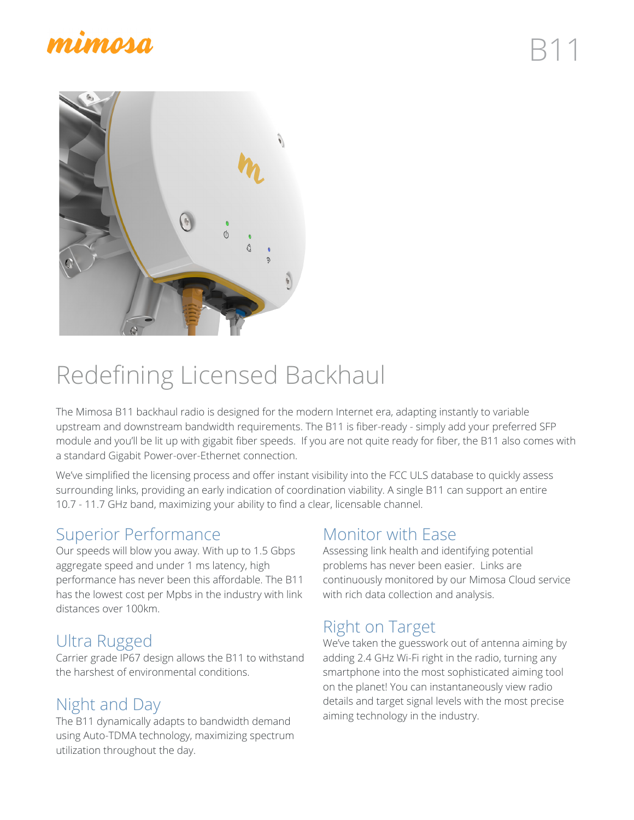## mimma



# Redefining Licensed Backhaul

The Mimosa B11 backhaul radio is designed for the modern Internet era, adapting instantly to variable upstream and downstream bandwidth requirements. The B11 is fiber-ready - simply add your preferred SFP module and you'll be lit up with gigabit fiber speeds. If you are not quite ready for fiber, the B11 also comes with a standard Gigabit Power-over-Ethernet connection.

We've simplified the licensing process and offer instant visibility into the FCC ULS database to quickly assess surrounding links, providing an early indication of coordination viability. A single B11 can support an entire 10.7 - 11.7 GHz band, maximizing your ability to find a clear, licensable channel.

### Superior Performance

Our speeds will blow you away. With up to 1.5 Gbps aggregate speed and under 1 ms latency, high performance has never been this affordable. The B11 has the lowest cost per Mpbs in the industry with link distances over 100km.

### Ultra Rugged

Carrier grade IP67 design allows the B11 to withstand the harshest of environmental conditions.

### Night and Day

The B11 dynamically adapts to bandwidth demand using Auto-TDMA technology, maximizing spectrum utilization throughout the day.

### Monitor with Ease

Assessing link health and identifying potential problems has never been easier. Links are continuously monitored by our Mimosa Cloud service with rich data collection and analysis.

### Right on Target

We've taken the guesswork out of antenna aiming by adding 2.4 GHz Wi-Fi right in the radio, turning any smartphone into the most sophisticated aiming tool on the planet! You can instantaneously view radio details and target signal levels with the most precise aiming technology in the industry.